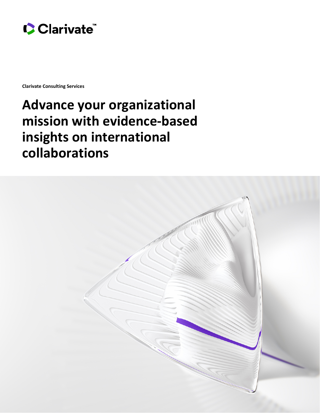

**Clarivate Consulting Services**

# **Advance your organizational mission with evidence-based insights on international collaborations**

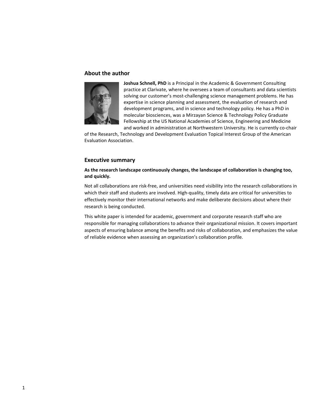### **About the author**



**Joshua Schnell, PhD** is a Principal in the Academic & Government Consulting practice at Clarivate, where he oversees a team of consultants and data scientists solving our customer's most-challenging science management problems. He has expertise in science planning and assessment, the evaluation of research and development programs, and in science and technology policy. He has a PhD in molecular biosciences, was a Mirzayan Science & Technology Policy Graduate Fellowship at the US National Academies of Science, Engineering and Medicine and worked in administration at Northwestern University. He is currently co-chair

of the Research, Technology and Development Evaluation Topical Interest Group of the American Evaluation Association.

## **Executive summary**

# **As the research landscape continuously changes, the landscape of collaboration is changing too, and quickly.**

Not all collaborations are risk-free, and universities need visibility into the research collaborations in which their staff and students are involved. High-quality, timely data are critical for universities to effectively monitor their international networks and make deliberate decisions about where their research is being conducted.

This white paper is intended for academic, government and corporate research staff who are responsible for managing collaborations to advance their organizational mission. It covers important aspects of ensuring balance among the benefits and risks of collaboration, and emphasizes the value of reliable evidence when assessing an organization's collaboration profile.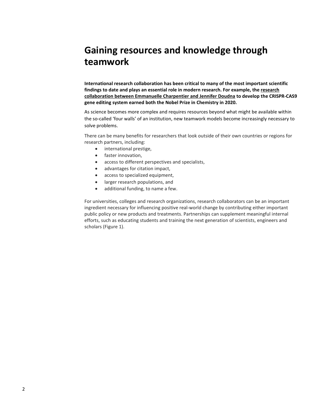# **Gaining resources and knowledge through teamwork**

**International research collaboration has been critical to many of the most important scientific findings to date and plays an essential role in modern research. For example, the [research](https://clarivate.com/webofsciencegroup/highly-cited-researchers-2020-executive-summary/?utm_source=HCR&utm_medium=website&utm_campaign=2020)  [collaboration between Emmanuelle Charpentier and Jennifer Doudna](https://clarivate.com/webofsciencegroup/highly-cited-researchers-2020-executive-summary/?utm_source=HCR&utm_medium=website&utm_campaign=2020) to develop the CRISPR-CAS9 gene editing system earned both the Nobel Prize in Chemistry in 2020.**

As science becomes more complex and requires resources beyond what might be available within the so-called 'four walls' of an institution, new teamwork models become increasingly necessary to solve problems.

There can be many benefits for researchers that look outside of their own countries or regions for research partners, including:

- international prestige,
- faster innovation,
- access to different perspectives and specialists,
- advantages for citation impact,
- access to specialized equipment,
- larger research populations, and
- additional funding, to name a few.

For universities, colleges and research organizations, research collaborators can be an important ingredient necessary for influencing positive real-world change by contributing either important public policy or new products and treatments. Partnerships can supplement meaningful internal efforts, such as educating students and training the next generation of scientists, engineers and scholars (Figure 1).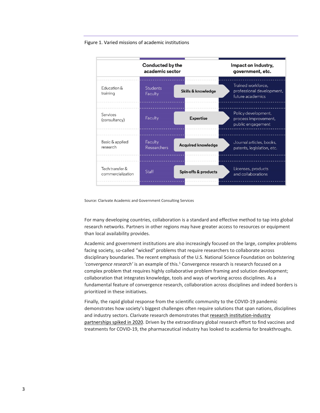#### Figure 1. Varied missions of academic institutions



Source: Clarivate Academic and Government Consulting Services

For many developing countries, collaboration is a standard and effective method to tap into global research networks. Partners in other regions may have greater access to resources or equipment than local availability provides.

Academic and government institutions are also increasingly focused on the large, complex problems facing society, so-called "wicked" problems that require researchers to collaborate across disciplinary boundaries. The recent emphasis of the U.S. National Science Foundation on bolstering '*convergence research'* is an example of this. <sup>1</sup> Convergence research is research focused on a complex problem that requires highly collaborative problem framing and solution development; collaboration that integrates knowledge, tools and ways of working across disciplines. As a fundamental feature of convergence research, collaboration across disciplines and indeed borders is prioritized in these initiatives.

Finally, the rapid global response from the scientific community to the COVID-19 pandemic demonstrates how society's biggest challenges often require solutions that span nations, disciplines and industry sectors. Clarivate research demonstrates that [research institution-industry](https://clarivate.com/cortellis/campaigns/accelerating-drug-development-through-collaboration/)  [partnerships spiked in 2020.](https://clarivate.com/cortellis/campaigns/accelerating-drug-development-through-collaboration/) Driven by the extraordinary global research effort to find vaccines and treatments for COVID-19, the pharmaceutical industry has looked to academia for breakthroughs.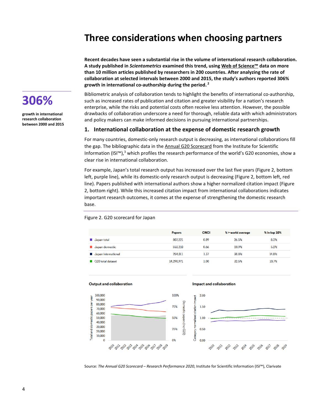# **Three considerations when choosing partners**

**Recent decades have seen a substantial rise in the volume of international research collaboration. A study published in** *Scientometrics* **examined this trend, usin[g Web of Science™](https://clarivate.com/webofsciencegroup/solutions/web-of-science/) data on more than 10 million articles published by researchers in 200 countries. After analyzing the rate of collaboration at selected intervals between 2000 and 2015, the study's authors reported 306% growth in international co-authorship during the period. <sup>2</sup>**



**growth in international research collaboration between 2000 and 2015** Bibliometric analysis of collaboration tends to highlight the benefits of international co-authorship, such as increased rates of publication and citation and greater visibility for a nation's research enterprise, while the risks and potential costs often receive less attention. However, the possible drawbacks of collaboration underscore a need for thorough, reliable data with which administrators and policy makers can make informed decisions in pursuing international partnerships.

#### **1. International collaboration at the expense of domestic research growth**

For many countries, domestic-only research output is decreasing, as international collaborations fill the gap. The bibliographic data in the [Annual G20 Scorecard](https://clarivate.com/webofsciencegroup/campaigns/the-annual-2020-scorecard-research-performance-2020/) from the Institute for Scientific Information (ISI<sup>m</sup>),<sup>3</sup> which profiles the research performance of the world's G20 economies, show a clear rise in international collaboration.

For example, Japan's total research output has increased over the last five years (Figure 2, bottom left, purple line), while its domestic-only research output is decreasing (Figure 2, bottom left, red line). Papers published with international authors show a higher normalized citation impact (Figure 2, bottom right). While this increased citation impact from international collaborations indicates important research outcomes, it comes at the expense of strengthening the domestic research base.

#### Figure 2. G20 scorecard for Japan

|                     | <b>Papers</b> | <b>CNCI</b> | % > world average | $%$ in top $10%$ |
|---------------------|---------------|-------------|-------------------|------------------|
| Japan total         | 807.221       | 0.89        | 26.5%             | 8.2%             |
| Japan domestic      | 553.210       | 0.66        | 20.9%             | 5.2%             |
| Japan international | 254,011       | 1.37        | 38.8%             | 14.8%            |
| G20 total dataset   | 14.290.971    | 1.00        | 32.5%             | 10.7%            |



Source: *The Annual G20 Scorecard – Research Performance 2020*, Institute for Scientific Information (ISI™), Clarivate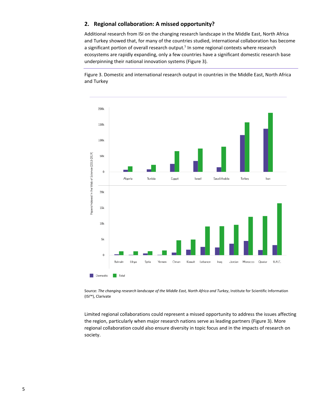# **2. Regional collaboration: A missed opportunity?**

Additional research from ISI on the changing research landscape in the Middle East, North Africa and Turkey showed that, for many of the countries studied, international collaboration has become a significant portion of overall research output.<sup>5</sup> In some regional contexts where research ecosystems are rapidly expanding, only a few countries have a significant domestic research base underpinning their national innovation systems (Figure 3).

Figure 3. Domestic and international research output in countries in the Middle East, North Africa and Turkey



Source: *The changing research landscape of the Middle East, North Africa and Turkey*, Institute for Scientific Information (ISI™), Clarivate

Limited regional collaborations could represent a missed opportunity to address the issues affecting the region, particularly when major research nations serve as leading partners (Figure 3). More regional collaboration could also ensure diversity in topic focus and in the impacts of research on society.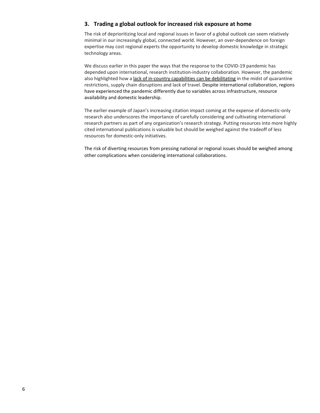# **3. Trading a global outlook for increased risk exposure at home**

The risk of deprioritizing local and regional issues in favor of a global outlook can seem relatively minimal in our increasingly global, connected world. However, an over-dependence on foreign expertise may cost regional experts the opportunity to develop domestic knowledge in strategic technology areas.

We discuss earlier in this paper the ways that the response to the COVID-19 pandemic has depended upon international, research institution-industry collaboration. However, the pandemic also highlighted how a [lack of in-country capabilities can be debilitating](https://clarivate.com/lp/impact-of-covid-19-vaccines-on-medtech/) in the midst of quarantine restrictions, supply chain disruptions and lack of travel. Despite international collaboration, regions have experienced the pandemic differently due to variables across infrastructure, resource availability and domestic leadership.

The earlier example of Japan's increasing citation impact coming at the expense of domestic-only research also underscores the importance of carefully considering and cultivating international research partners as part of any organization's research strategy. Putting resources into more highly cited international publications is valuable but should be weighed against the tradeoff of less resources for domestic-only initiatives.

The risk of diverting resources from pressing national or regional issues should be weighed among other complications when considering international collaborations.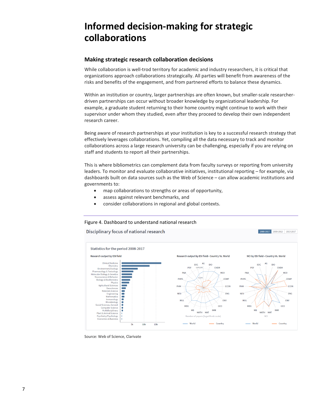# **Informed decision-making for strategic collaborations**

# **Making strategic research collaboration decisions**

While collaboration is well-trod territory for academic and industry researchers, it is critical that organizations approach collaborations strategically. All parties will benefit from awareness of the risks and benefits of the engagement, and from partnered efforts to balance these dynamics.

Within an institution or country, larger partnerships are often known, but smaller-scale researcherdriven partnerships can occur without broader knowledge by organizational leadership. For example, a graduate student returning to their home country might continue to work with their supervisor under whom they studied, even after they proceed to develop their own independent research career.

Being aware of research partnerships at your institution is key to a successful research strategy that effectively leverages collaborations. Yet, compiling all the data necessary to track and monitor collaborations across a large research university can be challenging, especially if you are relying on staff and students to report all their partnerships.

This is where bibliometrics can complement data from faculty surveys or reporting from university leaders. To monitor and evaluate collaborative initiatives, institutional reporting – for example, via dashboards built on data sources such as the Web of Science – can allow academic institutions and governments to:

- map collaborations to strengths or areas of opportunity,
- assess against relevant benchmarks, and
- consider collaborations in regional and global contexts.

## Figure 4. Dashboard to understand national research

Disciplinary focus of national research



2008-2017 2008-2012 2013-2017

Source: Web of Science, Clarivate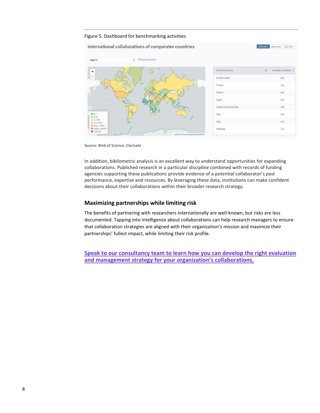#### Figure 5. Dashboard for benchmarking activities

|                                             |                                | International collaborations of comparator countries |                             | 2008-2017<br>2008-2012<br>2013-2017 |
|---------------------------------------------|--------------------------------|------------------------------------------------------|-----------------------------|-------------------------------------|
| Algeria                                     | Remove country<br>$\checkmark$ |                                                      |                             |                                     |
| $+$                                         | $\frac{1}{\sqrt{3}}$           | ÷                                                    | COUNTRY/REGION              | $\div$<br>NUMBER OF PAPERS          |
| sens.                                       |                                |                                                      | Saudi Arabia                | 852                                 |
|                                             | 92                             |                                                      | Turkey                      | 352                                 |
|                                             |                                |                                                      | France                      | 287                                 |
|                                             |                                |                                                      | Egypt                       | 203                                 |
| EANIA                                       |                                |                                                      | <b>United Arab Emirates</b> | 165                                 |
| $0 - 1$<br>$2-10$                           |                                |                                                      | Italy                       | 144                                 |
| 11-100<br>$101-1000$                        |                                |                                                      | <b>USA</b>                  | 143                                 |
| $1001 - 10000$<br>10001-100000<br>$100001+$ |                                |                                                      | Pakistan                    | 137                                 |
| Joseph Barry                                |                                | Leaflet   © OpenStreetMap, ©CARTO                    |                             |                                     |

Source: Web of Science, Clarivate

In addition, bibliometric analysis is an excellent way to understand opportunities for expanding collaborations. Published research in a particular discipline combined with records of funding agencies supporting these publications provide evidence of a potential collaborator's past performance, expertise and resources. By leveraging these data, institutions can make confident decisions about their collaborations within their broader research strategy.

## **Maximizing partnerships while limiting risk**

The benefits of partnering with researchers internationally are well-known, but risks are less documented. Tapping into intelligence about collaborations can help research managers to ensure that collaboration strategies are aligned with their organization's mission and maximize their partnerships' fullest impact, while limiting their risk profile.

**[Speak to our consultancy team to learn how you can develop the right evaluation](https://discover.clarivate.com/international_collaborations_contact_us)  [and management strategy for your organization's collaborations](https://discover.clarivate.com/international_collaborations_contact_us)**.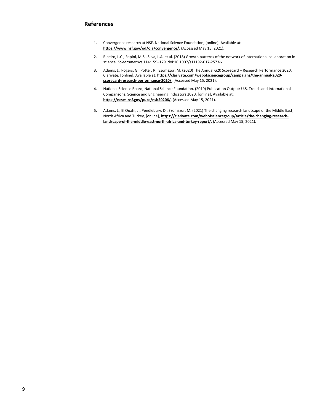# **References**

- 1. Convergence research at NSF. National Science Foundation, [online], Available at: **<https://www.nsf.gov/od/oia/convergence/>**. (Accessed May 15, 2021).
- 2. Ribeiro, L.C., Rapini, M.S., Silva, L.A. et al. (2018) Growth patterns of the network of international collaboration in science. *Scientometrics* 114:159–179. doi:10.1007/s11192-017-2573-x
- 3. Adams, J., Rogers, G., Potter, R., Szomszor, M. (2020) The Annual G20 Scorecard Research Performance 2020. Clarivate, [online], Available at: **[https://clarivate.com/webofsciencegroup/campaigns/the-annual-2020](https://clarivate.com/webofsciencegroup/campaigns/the-annual-2020-scorecard-research-performance-2020/) [scorecard-research-performance-2020/](https://clarivate.com/webofsciencegroup/campaigns/the-annual-2020-scorecard-research-performance-2020/)**. (Accessed May 15, 2021).
- 4. National Science Board, National Science Foundation. (2019) Publication Output: U.S. Trends and International Comparisons. Science and Engineering Indicators 2020, [online], Available at: **<https://ncses.nsf.gov/pubs/nsb20206/>**. (Accessed May 15, 2021).
- 5. Adams, J., El Ouahi, J., Pendlebury, D., Szomszor, M. (2021) The changing research landscape of the Middle East, North Africa and Turkey, [online], **[https://clarivate.com/webofsciencegroup/article/the-changing-research](https://clarivate.com/webofsciencegroup/article/the-changing-research-landscape-of-the-middle-east-north-africa-and-turkey-report/)[landscape-of-the-middle-east-north-africa-and-turkey-report/](https://clarivate.com/webofsciencegroup/article/the-changing-research-landscape-of-the-middle-east-north-africa-and-turkey-report/)**. (Accessed May 15, 2021).